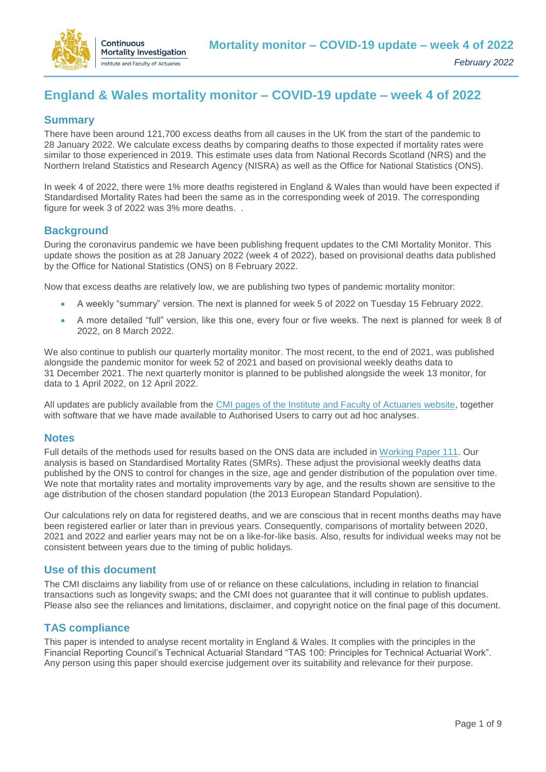

# **England & Wales mortality monitor – COVID-19 update – week 4 of 2022**

### **Summary**

There have been around 121,700 excess deaths from all causes in the UK from the start of the pandemic to 28 January 2022. We calculate excess deaths by comparing deaths to those expected if mortality rates were similar to those experienced in 2019. This estimate uses data from National Records Scotland (NRS) and the Northern Ireland Statistics and Research Agency (NISRA) as well as the Office for National Statistics (ONS).

In week 4 of 2022, there were 1% more deaths registered in England & Wales than would have been expected if Standardised Mortality Rates had been the same as in the corresponding week of 2019. The corresponding figure for week 3 of 2022 was 3% more deaths. .

### **Background**

During the coronavirus pandemic we have been publishing frequent updates to the CMI Mortality Monitor. This update shows the position as at 28 January 2022 (week 4 of 2022), based on provisional deaths data published by the Office for National Statistics (ONS) on 8 February 2022.

Now that excess deaths are relatively low, we are publishing two types of pandemic mortality monitor:

- A weekly "summary" version. The next is planned for week 5 of 2022 on Tuesday 15 February 2022.
- A more detailed "full" version, like this one, every four or five weeks. The next is planned for week 8 of 2022, on 8 March 2022.

We also continue to publish our quarterly mortality monitor. The most recent, to the end of 2021, was published alongside the pandemic monitor for week 52 of 2021 and based on provisional weekly deaths data to 31 December 2021. The next quarterly monitor is planned to be published alongside the week 13 monitor, for data to 1 April 2022, on 12 April 2022.

All updates are publicly available from the [CMI pages of the Institute and Faculty of Actuaries website,](https://www.actuaries.org.uk/learn-and-develop/continuous-mortality-investigation/other-cmi-outputs/mortality-monitor) together with software that we have made available to Authorised Users to carry out ad hoc analyses.

### **Notes**

Full details of the methods used for results based on the ONS data are included in [Working Paper 111.](https://www.actuaries.org.uk/learn-and-develop/continuous-mortality-investigation/cmi-working-papers/mortality-projections/cmi-working-paper-111) Our analysis is based on Standardised Mortality Rates (SMRs). These adjust the provisional weekly deaths data published by the ONS to control for changes in the size, age and gender distribution of the population over time. We note that mortality rates and mortality improvements vary by age, and the results shown are sensitive to the age distribution of the chosen standard population (the 2013 European Standard Population).

Our calculations rely on data for registered deaths, and we are conscious that in recent months deaths may have been registered earlier or later than in previous years. Consequently, comparisons of mortality between 2020, 2021 and 2022 and earlier years may not be on a like-for-like basis. Also, results for individual weeks may not be consistent between years due to the timing of public holidays.

### **Use of this document**

The CMI disclaims any liability from use of or reliance on these calculations, including in relation to financial transactions such as longevity swaps; and the CMI does not guarantee that it will continue to publish updates. Please also see the reliances and limitations, disclaimer, and copyright notice on the final page of this document.

### **TAS compliance**

This paper is intended to analyse recent mortality in England & Wales. It complies with the principles in the Financial Reporting Council's Technical Actuarial Standard "TAS 100: Principles for Technical Actuarial Work". Any person using this paper should exercise judgement over its suitability and relevance for their purpose.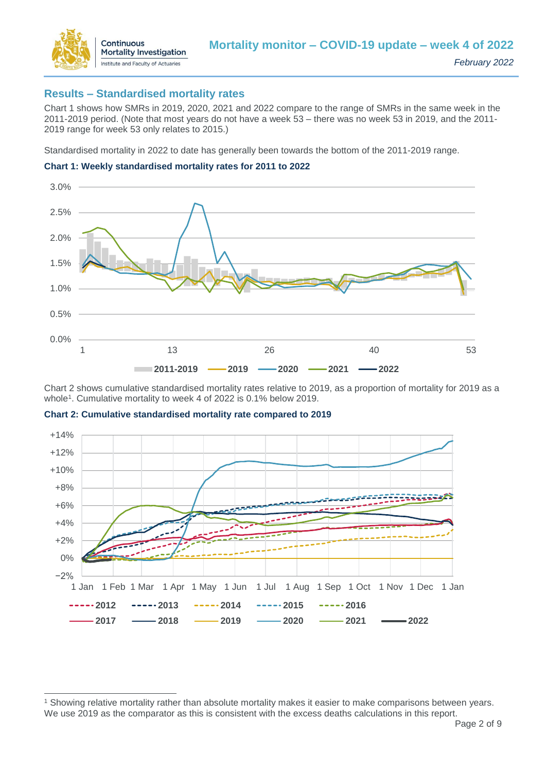

### **Results – Standardised mortality rates**

Chart 1 shows how SMRs in 2019, 2020, 2021 and 2022 compare to the range of SMRs in the same week in the 2011-2019 period. (Note that most years do not have a week 53 – there was no week 53 in 2019, and the 2011- 2019 range for week 53 only relates to 2015.)

Standardised mortality in 2022 to date has generally been towards the bottom of the 2011-2019 range.





Chart 2 shows cumulative standardised mortality rates relative to 2019, as a proportion of mortality for 2019 as a whole<sup>1</sup>. Cumulative mortality to week 4 of 2022 is 0.1% below 2019.



**Chart 2: Cumulative standardised mortality rate compared to 2019**

 $\overline{a}$ 

<sup>1</sup> Showing relative mortality rather than absolute mortality makes it easier to make comparisons between years. We use 2019 as the comparator as this is consistent with the excess deaths calculations in this report.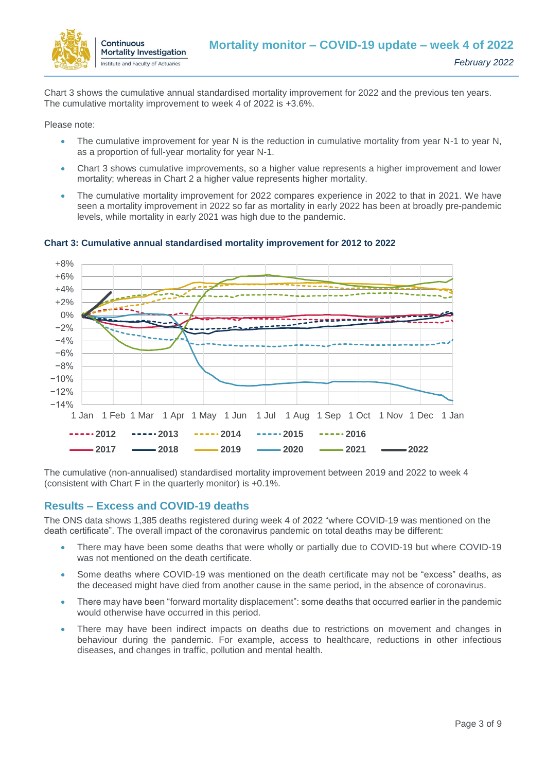

Chart 3 shows the cumulative annual standardised mortality improvement for 2022 and the previous ten years. The cumulative mortality improvement to week 4 of 2022 is +3.6%.

Please note:

- The cumulative improvement for year N is the reduction in cumulative mortality from year N-1 to year N, as a proportion of full-year mortality for year N-1.
- Chart 3 shows cumulative improvements, so a higher value represents a higher improvement and lower mortality; whereas in Chart 2 a higher value represents higher mortality.
- The cumulative mortality improvement for 2022 compares experience in 2022 to that in 2021. We have seen a mortality improvement in 2022 so far as mortality in early 2022 has been at broadly pre-pandemic levels, while mortality in early 2021 was high due to the pandemic.



**Chart 3: Cumulative annual standardised mortality improvement for 2012 to 2022**

The cumulative (non-annualised) standardised mortality improvement between 2019 and 2022 to week 4 (consistent with Chart F in the quarterly monitor) is +0.1%.

## **Results – Excess and COVID-19 deaths**

The ONS data shows 1,385 deaths registered during week 4 of 2022 "where COVID-19 was mentioned on the death certificate". The overall impact of the coronavirus pandemic on total deaths may be different:

- There may have been some deaths that were wholly or partially due to COVID-19 but where COVID-19 was not mentioned on the death certificate.
- Some deaths where COVID-19 was mentioned on the death certificate may not be "excess" deaths, as the deceased might have died from another cause in the same period, in the absence of coronavirus.
- There may have been "forward mortality displacement": some deaths that occurred earlier in the pandemic would otherwise have occurred in this period.
- There may have been indirect impacts on deaths due to restrictions on movement and changes in behaviour during the pandemic. For example, access to healthcare, reductions in other infectious diseases, and changes in traffic, pollution and mental health.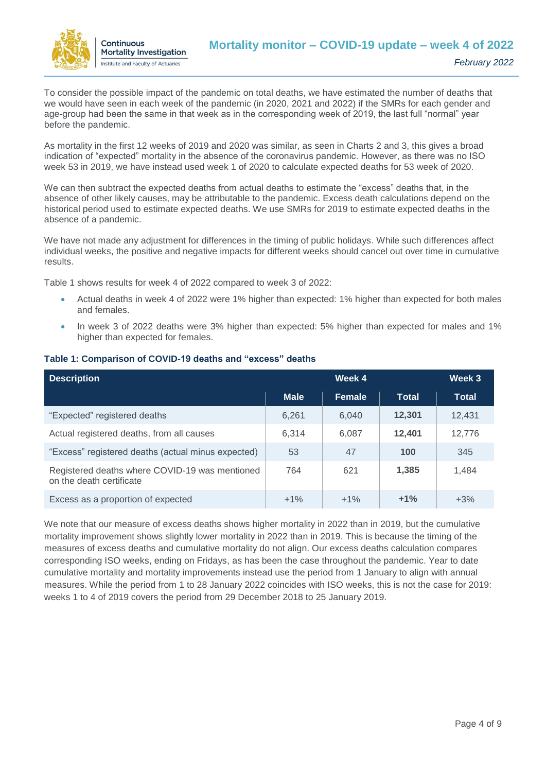

To consider the possible impact of the pandemic on total deaths, we have estimated the number of deaths that we would have seen in each week of the pandemic (in 2020, 2021 and 2022) if the SMRs for each gender and age-group had been the same in that week as in the corresponding week of 2019, the last full "normal" year before the pandemic.

As mortality in the first 12 weeks of 2019 and 2020 was similar, as seen in Charts 2 and 3, this gives a broad indication of "expected" mortality in the absence of the coronavirus pandemic. However, as there was no ISO week 53 in 2019, we have instead used week 1 of 2020 to calculate expected deaths for 53 week of 2020.

We can then subtract the expected deaths from actual deaths to estimate the "excess" deaths that, in the absence of other likely causes, may be attributable to the pandemic. Excess death calculations depend on the historical period used to estimate expected deaths. We use SMRs for 2019 to estimate expected deaths in the absence of a pandemic.

We have not made any adjustment for differences in the timing of public holidays. While such differences affect individual weeks, the positive and negative impacts for different weeks should cancel out over time in cumulative results.

Table 1 shows results for week 4 of 2022 compared to week 3 of 2022:

- Actual deaths in week 4 of 2022 were 1% higher than expected: 1% higher than expected for both males and females.
- In week 3 of 2022 deaths were 3% higher than expected: 5% higher than expected for males and 1% higher than expected for females.

| <b>Description</b>                                                         | Week 4      |        |              | Week 3 |
|----------------------------------------------------------------------------|-------------|--------|--------------|--------|
|                                                                            | <b>Male</b> | Female | <b>Total</b> | Total  |
| "Expected" registered deaths                                               | 6,261       | 6.040  | 12,301       | 12.431 |
| Actual registered deaths, from all causes                                  | 6.314       | 6.087  | 12,401       | 12,776 |
| "Excess" registered deaths (actual minus expected)                         | 53          | 47     | 100          | 345    |
| Registered deaths where COVID-19 was mentioned<br>on the death certificate | 764         | 621    | 1,385        | 1,484  |
| Excess as a proportion of expected                                         | $+1\%$      | $+1%$  | $+1%$        | $+3%$  |

#### **Table 1: Comparison of COVID-19 deaths and "excess" deaths**

We note that our measure of excess deaths shows higher mortality in 2022 than in 2019, but the cumulative mortality improvement shows slightly lower mortality in 2022 than in 2019. This is because the timing of the measures of excess deaths and cumulative mortality do not align. Our excess deaths calculation compares corresponding ISO weeks, ending on Fridays, as has been the case throughout the pandemic. Year to date cumulative mortality and mortality improvements instead use the period from 1 January to align with annual measures. While the period from 1 to 28 January 2022 coincides with ISO weeks, this is not the case for 2019: weeks 1 to 4 of 2019 covers the period from 29 December 2018 to 25 January 2019.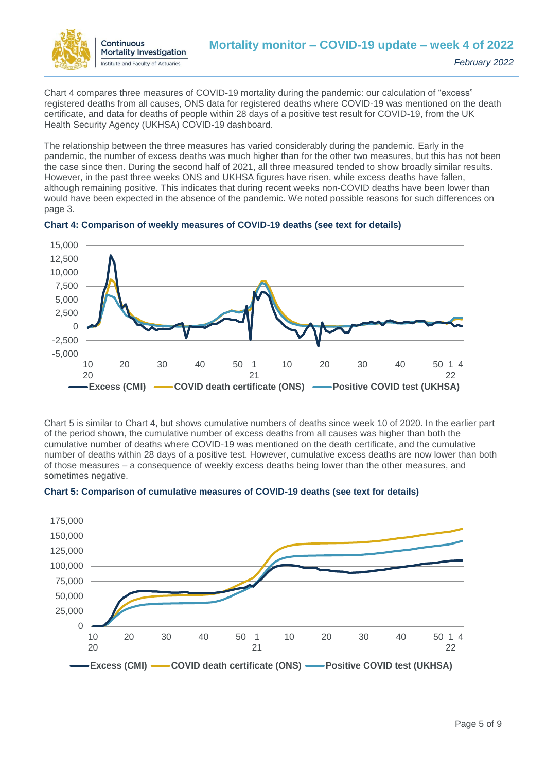

Chart 4 compares three measures of COVID-19 mortality during the pandemic: our calculation of "excess" registered deaths from all causes, ONS data for registered deaths where COVID-19 was mentioned on the death certificate, and data for deaths of people within 28 days of a positive test result for COVID-19, from the UK Health Security Agency (UKHSA) COVID-19 dashboard.

The relationship between the three measures has varied considerably during the pandemic. Early in the pandemic, the number of excess deaths was much higher than for the other two measures, but this has not been the case since then. During the second half of 2021, all three measured tended to show broadly similar results. However, in the past three weeks ONS and UKHSA figures have risen, while excess deaths have fallen, although remaining positive. This indicates that during recent weeks non-COVID deaths have been lower than would have been expected in the absence of the pandemic. We noted possible reasons for such differences on page 3.



#### **Chart 4: Comparison of weekly measures of COVID-19 deaths (see text for details)**

Chart 5 is similar to Chart 4, but shows cumulative numbers of deaths since week 10 of 2020. In the earlier part of the period shown, the cumulative number of excess deaths from all causes was higher than both the cumulative number of deaths where COVID-19 was mentioned on the death certificate, and the cumulative number of deaths within 28 days of a positive test. However, cumulative excess deaths are now lower than both of those measures – a consequence of weekly excess deaths being lower than the other measures, and sometimes negative.



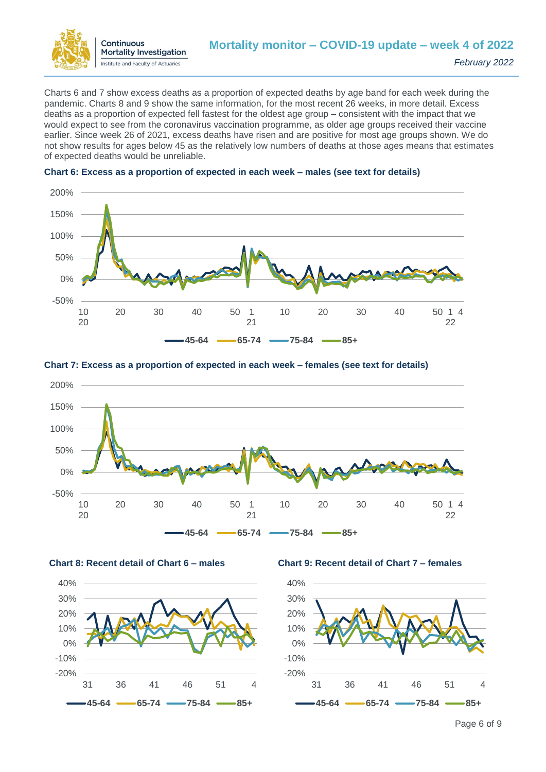

Charts 6 and 7 show excess deaths as a proportion of expected deaths by age band for each week during the pandemic. Charts 8 and 9 show the same information, for the most recent 26 weeks, in more detail. Excess deaths as a proportion of expected fell fastest for the oldest age group – consistent with the impact that we would expect to see from the coronavirus vaccination programme, as older age groups received their vaccine earlier. Since week 26 of 2021, excess deaths have risen and are positive for most age groups shown. We do not show results for ages below 45 as the relatively low numbers of deaths at those ages means that estimates of expected deaths would be unreliable.



#### **Chart 6: Excess as a proportion of expected in each week – males (see text for details)**



#### **Chart 7: Excess as a proportion of expected in each week – females (see text for details)**





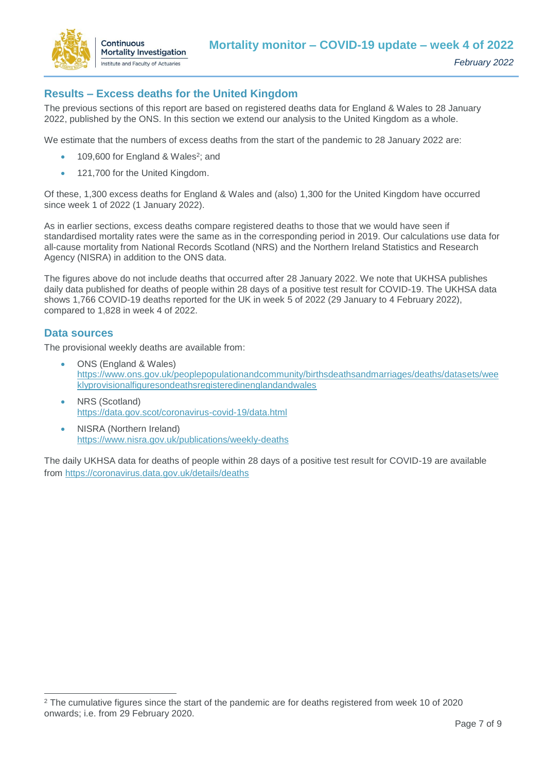

# **Results – Excess deaths for the United Kingdom**

The previous sections of this report are based on registered deaths data for England & Wales to 28 January 2022, published by the ONS. In this section we extend our analysis to the United Kingdom as a whole.

We estimate that the numbers of excess deaths from the start of the pandemic to 28 January 2022 are:

- 109,600 for England & Wales<sup>2</sup>; and
- 121,700 for the United Kingdom.

Of these, 1,300 excess deaths for England & Wales and (also) 1,300 for the United Kingdom have occurred since week 1 of 2022 (1 January 2022).

As in earlier sections, excess deaths compare registered deaths to those that we would have seen if standardised mortality rates were the same as in the corresponding period in 2019. Our calculations use data for all-cause mortality from National Records Scotland (NRS) and the Northern Ireland Statistics and Research Agency (NISRA) in addition to the ONS data.

The figures above do not include deaths that occurred after 28 January 2022. We note that UKHSA publishes daily data published for deaths of people within 28 days of a positive test result for COVID-19. The UKHSA data shows 1,766 COVID-19 deaths reported for the UK in week 5 of 2022 (29 January to 4 February 2022), compared to 1,828 in week 4 of 2022.

#### **Data sources**

 $\overline{a}$ 

The provisional weekly deaths are available from:

- ONS (England & Wales) [https://www.ons.gov.uk/peoplepopulationandcommunity/birthsdeathsandmarriages/deaths/datasets/wee](https://www.ons.gov.uk/peoplepopulationandcommunity/birthsdeathsandmarriages/deaths/datasets/weeklyprovisionalfiguresondeathsregisteredinenglandandwales) [klyprovisionalfiguresondeathsregisteredinenglandandwales](https://www.ons.gov.uk/peoplepopulationandcommunity/birthsdeathsandmarriages/deaths/datasets/weeklyprovisionalfiguresondeathsregisteredinenglandandwales)
- NRS (Scotland) <https://data.gov.scot/coronavirus-covid-19/data.html>
- NISRA (Northern Ireland) <https://www.nisra.gov.uk/publications/weekly-deaths>

The daily UKHSA data for deaths of people within 28 days of a positive test result for COVID-19 are available from<https://coronavirus.data.gov.uk/details/deaths>

<sup>2</sup> The cumulative figures since the start of the pandemic are for deaths registered from week 10 of 2020 onwards; i.e. from 29 February 2020.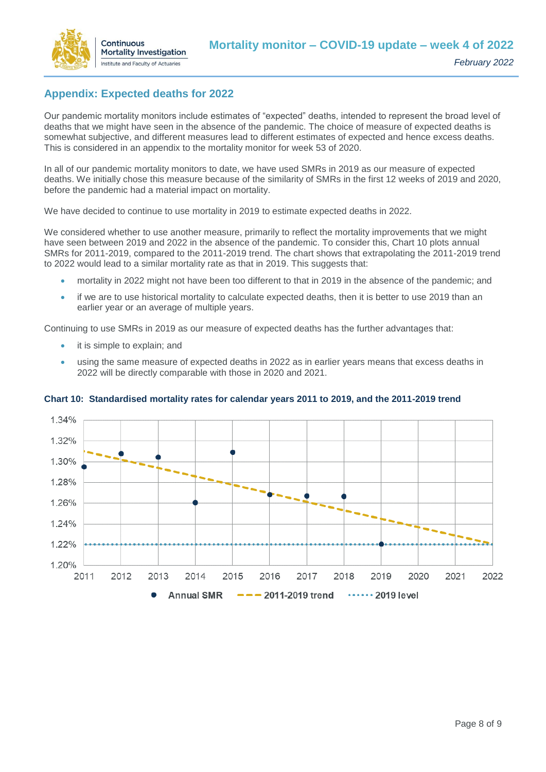

# **Appendix: Expected deaths for 2022**

Our pandemic mortality monitors include estimates of "expected" deaths, intended to represent the broad level of deaths that we might have seen in the absence of the pandemic. The choice of measure of expected deaths is somewhat subjective, and different measures lead to different estimates of expected and hence excess deaths. This is considered in an appendix to the mortality monitor for week 53 of 2020.

In all of our pandemic mortality monitors to date, we have used SMRs in 2019 as our measure of expected deaths. We initially chose this measure because of the similarity of SMRs in the first 12 weeks of 2019 and 2020, before the pandemic had a material impact on mortality.

We have decided to continue to use mortality in 2019 to estimate expected deaths in 2022.

We considered whether to use another measure, primarily to reflect the mortality improvements that we might have seen between 2019 and 2022 in the absence of the pandemic. To consider this, Chart 10 plots annual SMRs for 2011-2019, compared to the 2011-2019 trend. The chart shows that extrapolating the 2011-2019 trend to 2022 would lead to a similar mortality rate as that in 2019. This suggests that:

- mortality in 2022 might not have been too different to that in 2019 in the absence of the pandemic; and
- if we are to use historical mortality to calculate expected deaths, then it is better to use 2019 than an earlier year or an average of multiple years.

Continuing to use SMRs in 2019 as our measure of expected deaths has the further advantages that:

- it is simple to explain; and
- using the same measure of expected deaths in 2022 as in earlier years means that excess deaths in 2022 will be directly comparable with those in 2020 and 2021.



#### **Chart 10: Standardised mortality rates for calendar years 2011 to 2019, and the 2011-2019 trend**